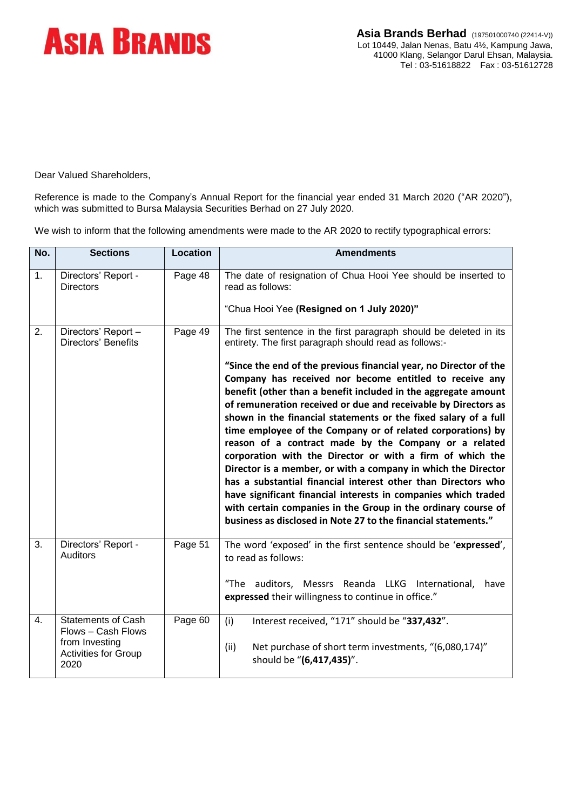

Dear Valued Shareholders,

Reference is made to the Company's Annual Report for the financial year ended 31 March 2020 ("AR 2020"), which was submitted to Bursa Malaysia Securities Berhad on 27 July 2020.

We wish to inform that the following amendments were made to the AR 2020 to rectify typographical errors:

| No. | <b>Sections</b>                                                                                          | <b>Location</b> | <b>Amendments</b>                                                                                                                                                                                                                                                                                                                                                                                                                                                                                                                                                                                                                                                                                                                                                                                                                                                                                                                                                                               |
|-----|----------------------------------------------------------------------------------------------------------|-----------------|-------------------------------------------------------------------------------------------------------------------------------------------------------------------------------------------------------------------------------------------------------------------------------------------------------------------------------------------------------------------------------------------------------------------------------------------------------------------------------------------------------------------------------------------------------------------------------------------------------------------------------------------------------------------------------------------------------------------------------------------------------------------------------------------------------------------------------------------------------------------------------------------------------------------------------------------------------------------------------------------------|
| 1.  | Directors' Report -<br><b>Directors</b>                                                                  | Page 48         | The date of resignation of Chua Hooi Yee should be inserted to<br>read as follows:<br>"Chua Hooi Yee (Resigned on 1 July 2020)"                                                                                                                                                                                                                                                                                                                                                                                                                                                                                                                                                                                                                                                                                                                                                                                                                                                                 |
| 2.  | Directors' Report -<br>Directors' Benefits                                                               | Page 49         | The first sentence in the first paragraph should be deleted in its<br>entirety. The first paragraph should read as follows:-<br>"Since the end of the previous financial year, no Director of the<br>Company has received nor become entitled to receive any<br>benefit (other than a benefit included in the aggregate amount<br>of remuneration received or due and receivable by Directors as<br>shown in the financial statements or the fixed salary of a full<br>time employee of the Company or of related corporations) by<br>reason of a contract made by the Company or a related<br>corporation with the Director or with a firm of which the<br>Director is a member, or with a company in which the Director<br>has a substantial financial interest other than Directors who<br>have significant financial interests in companies which traded<br>with certain companies in the Group in the ordinary course of<br>business as disclosed in Note 27 to the financial statements." |
| 3.  | Directors' Report -<br><b>Auditors</b>                                                                   | Page $51$       | The word 'exposed' in the first sentence should be 'expressed',<br>to read as follows:<br>"The auditors, Messrs Reanda LLKG International,<br>have<br>expressed their willingness to continue in office."                                                                                                                                                                                                                                                                                                                                                                                                                                                                                                                                                                                                                                                                                                                                                                                       |
| 4.  | <b>Statements of Cash</b><br>Flows - Cash Flows<br>from Investing<br><b>Activities for Group</b><br>2020 | Page 60         | Interest received, "171" should be "337,432".<br>(i)<br>Net purchase of short term investments, "(6,080,174)"<br>(ii)<br>should be "(6,417,435)".                                                                                                                                                                                                                                                                                                                                                                                                                                                                                                                                                                                                                                                                                                                                                                                                                                               |